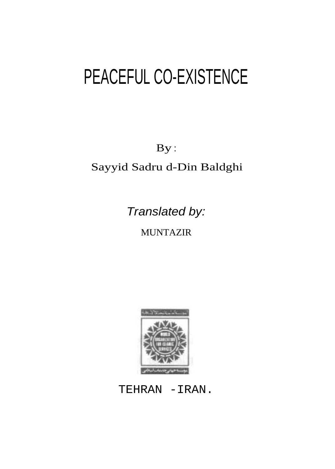By :

Sayyid Sadru d-Din Baldghi

Translated by:

**MUNTAZIR** 



TEHRAN -IRAN.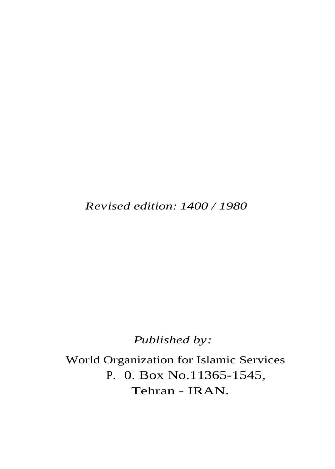*Revised edition: 1400 / 1980*

 *Published by:*

 World Organization for Islamic Services P. 0. Box No.11365-1545, Tehran - IRAN.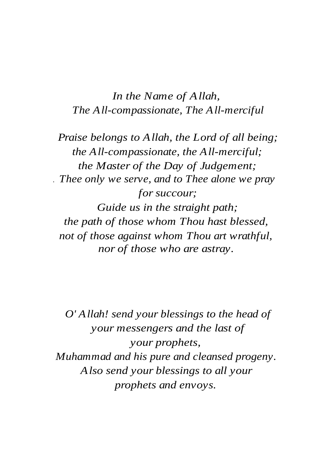*In the Name of Allah, The All-compassionate, The All-merciful*

*Praise belongs to Allah, the Lord of all being; the All-compassionate, the All-merciful; the Master of the Day of Judgement; . Thee only we serve, and to Thee alone we pray for succour;*

*Guide us in the straight path; the path of those whom Thou hast blessed, not of those against whom Thou art wrathful, nor of those who are astray.*

*O' Allah! send your blessings to the head of your messengers and the last of your prophets, Muhammad and his pure and cleansed progeny. Also send your blessings to all your prophets and envoys.*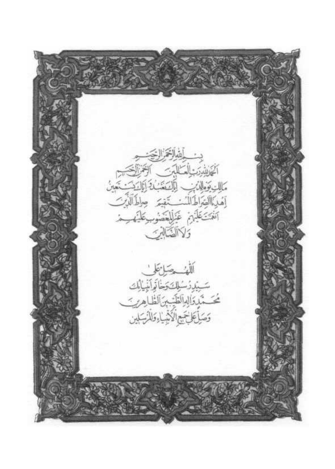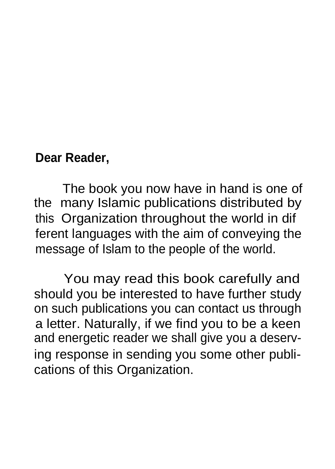### **Dear Reader,**

The book you now have in hand is one of the many Islamic publications distributed by this Organization throughout the world in dif ferent languages with the aim of conveying the message of Islam to the people of the world.

You may read this book carefully and should you be interested to have further study on such publications you can contact us through a letter. Naturally, if we find you to be a keen and energetic reader we shall give you a deserving response in sending you some other publications of this Organization.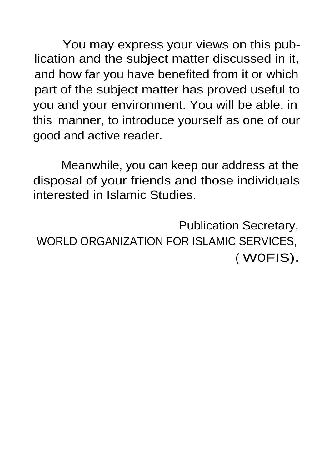You may express your views on this publication and the subject matter discussed in it, and how far you have benefited from it or which part of the subject matter has proved useful to you and your environment. You will be able, in this manner, to introduce yourself as one of our good and active reader.

Meanwhile, you can keep our address at the disposal of your friends and those individuals interested in Islamic Studies.

Publication Secretary, WORLD ORGANIZATION FOR ISLAMIC SERVICES, ( W0FIS).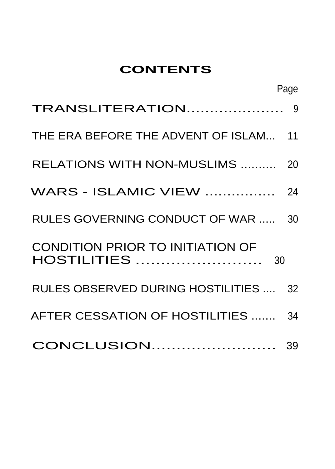## **CONTENTS**

|                                                               | Page |
|---------------------------------------------------------------|------|
| <b>TRANSLITERATION</b> 9                                      |      |
| THE ERA BEFORE THE ADVENT OF ISLAM 11                         |      |
| RELATIONS WITH NON-MUSLIMS  20                                |      |
| <b>WARS - ISLAMIC VIEW </b> 24                                |      |
| RULES GOVERNING CONDUCT OF WAR  30                            |      |
| CONDITION PRIOR TO INITIATION OF<br><b>HOSTILITIES </b><br>30 |      |
| RULES OBSERVED DURING HOSTILITIES  32                         |      |
| AFTER CESSATION OF HOSTILITIES  34                            |      |
|                                                               |      |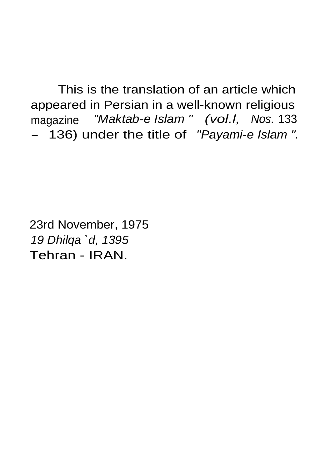This is the translation of an article which appeared in Persian in a well-known religious magazine "Maktab-e Islam " (vol.I, Nos. 133 - 136) under the title of "Payami-e Islam".

23rd November, 1975 19 Dhilqa `d, 1395 Tehran - IRAN.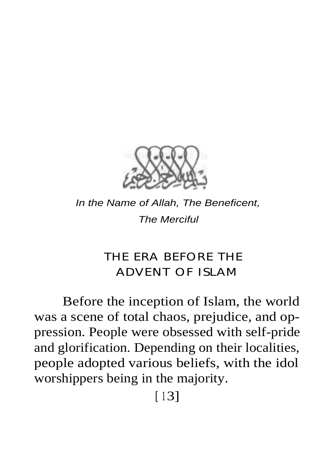

In the Name of Allah, The Beneficent, The Merciful

# **THE ERA BEFORE THE ADVENT OF ISLAM**

Before the inception of Islam, the world was a scene of total chaos, prejudice, and oppression. People were obsessed with self-pride and glorification. Depending on their localities, people adopted various beliefs, with the idol worshippers being in the majority.

 $[13]$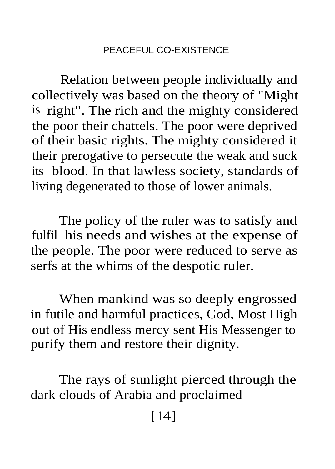Relation between people individually and collectively was based on the theory of "Might is right". The rich and the mighty considered the poor their chattels. The poor were deprived of their basic rights. The mighty considered it their prerogative to persecute the weak and suck its blood. In that lawless society, standards of living degenerated to those of lower animals.

The policy of the ruler was to satisfy and fulfil his needs and wishes at the expense of the people. The poor were reduced to serve as serfs at the whims of the despotic ruler.

When mankind was so deeply engrossed in futile and harmful practices, God, Most High out of His endless mercy sent His Messenger to purify them and restore their dignity.

The rays of sunlight pierced through the dark clouds of Arabia and proclaimed

 $[14]$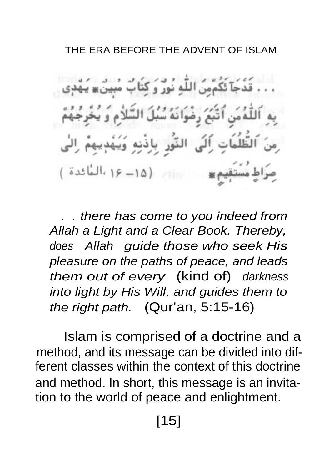### THE FRA BEFORE THE ADVENT OF ISLAM

قَدْجَآ ئَكُمْمِنَ اللَّهِ نُورٌ وَ كَتَابٌ مُب ٱتَّبَعَ رضُوَانَهُ سُبُلَ السَّلاَ اَلَى النَّور باذَنِهِ وَيَهْدِ م = 16 (١٥ - ١۶ المائدة)

. . . there has come to you indeed from Allah a Light and a Clear Book. Thereby, does Allah guide those who seek His pleasure on the paths of peace, and leads them out of every (kind of) darkness into light by His Will, and guides them to the right path. (Qur'an, 5:15-16)

Islam is comprised of a doctrine and a method, and its message can be divided into different classes within the context of this doctrine and method. In short, this message is an invitation to the world of peace and enlightment.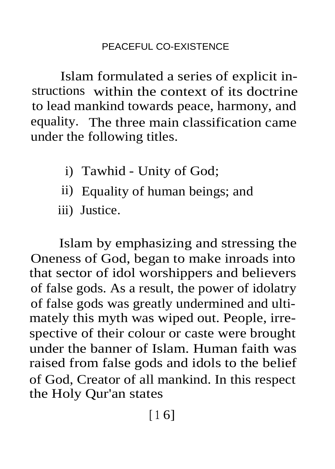Islam formulated a series of explicit instructions within the context of its doctrine to lead mankind towards peace, harmony, and equality. The three main classification came under the following titles.

- i) Tawhid Unity of God;
- ii) Equality of human beings; and
- iii) Justice.

Islam by emphasizing and stressing the Oneness of God, began to make inroads into that sector of idol worshippers and believers of false gods. As a result, the power of idolatry of false gods was greatly undermined and ultimately this myth was wiped out. People, irrespective of their colour or caste were brought under the banner of Islam. Human faith was raised from false gods and idols to the belief of God, Creator of all mankind. In this respect the Holy Qur'an states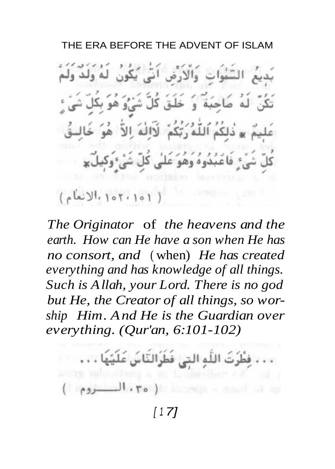#### THE ERA BEFORE THE ADVENT OF ISLAM

السَّمُواتِ وَالأَرْضِ أَنِّي بُكُونِ لَهُ وَلَدٌ وَلَا باحَبَةٌ وَ خَلَقَ كُلِّ شَيْءُ هُوَ َّدٰلِكُمُ ٱللَّهُ رَبِّكُمْ ۖ لَآالُهُ ۚ الآَّ ۚ هُوَ ، فَاعْبُدُوهُ وَهُوَ عَلَىٰ كُلِّ شَيْءُوَكَهِ  $(101.101)$ 

*The Originator* of *the heavens and the earth. How can He have a son when He has no consort, and* ( when) *He has created everything and has knowledge of all things. Such is Allah, your Lord. There is no god but He, the Creator of all things, so worship Him. And He is the Guardian over everything. (Qur'an, 6:101-102)*

َ فَظُرْتَ اللَّهِ التي فَظُرَالتَّاسَ عَلَيْتُهَا ، ، ،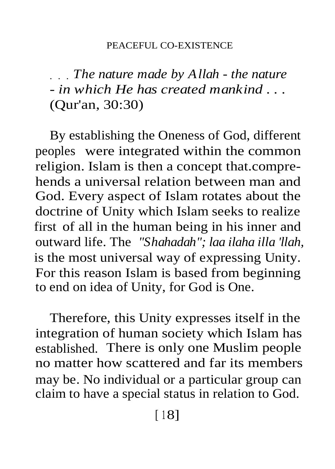. . . *The nature made by Allah - the nature - in which He has created mankind . . .* (Qur'an, 30:30)

By establishing the Oneness of God, different peoples were integrated within the common religion. Islam is then a concept that.comprehends a universal relation between man and God. Every aspect of Islam rotates about the doctrine of Unity which Islam seeks to realize first of all in the human being in his inner and outward life. The *"Shahadah"; laa ilaha illa 'llah,* is the most universal way of expressing Unity. For this reason Islam is based from beginning to end on idea of Unity, for God is One.

Therefore, this Unity expresses itself in the integration of human society which Islam has established. There is only one Muslim people no matter how scattered and far its members may be. No individual or a particular group can claim to have a special status in relation to God.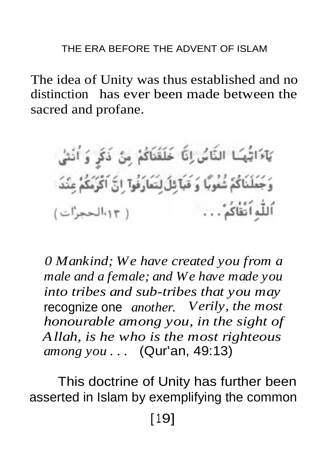The idea of Unity was thus established and no distinction has ever been made between the sacred and profane.

يَآءَاتُهُمَا النَّاسُ إِنَّا خَلَقْنَاكُمْ مِنْ ذَكَرٍ وَ أُنْشَىٰ وَجَعَلْنَاكُمْ شُعُوبًا وَ قَبَآ ثِلَ لِتَعَارَفُوآ ۚ إِنَّ ٱكْرُمَكُمْ عِنْدَ اللَّهِ اَتَّقَاكُمْ . . . " ( ١٠٢ الحجرات )

*0 Mankind; We have created you from a male and a female; and We have made you into tribes and sub-tribes that you may* recognize one *another. Verily, the most honourable among you, in the sight of Allah, is he who is the most righteous among you . . .* (Qur'an, 49:13)

This doctrine of Unity has further been asserted in Islam by exemplifying the common [ 19]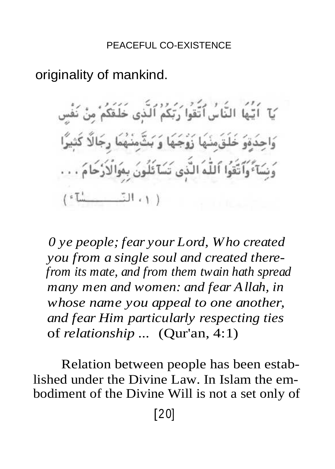### originality of mankind.

َ يَا ۚ اُ يَّـٰهَا النَّاسُ ٱتَّقُوا۟ رَبَّكُمُ ٱلَّذِى خَلَقَكُمْ مِنْ نَفْس وَاحِدَةِوَ خَلَقَوشَهَا زَوْجَهَا وَ بَثَّوشَهُمَا رِجَالًا كَثِيرًا وَنِسَآءٌ وَٱتَّقُوا ٱللَّهُ الَّذِي تَسَآئَلُونَ بِمَوَالْأَرْحَامَ . . .  $(1 - 1)$ 

*0 ye people; fear your Lord, Who created you from a single soul and created therefrom its mate, and from them twain hath spread many men and women: and fear Allah, in whose name you appeal to one another, and fear Him particularly respecting ties* of *relationship ...* (Qur'an, 4:1)

Relation between people has been established under the Divine Law. In Islam the embodiment of the Divine Will is not a set only of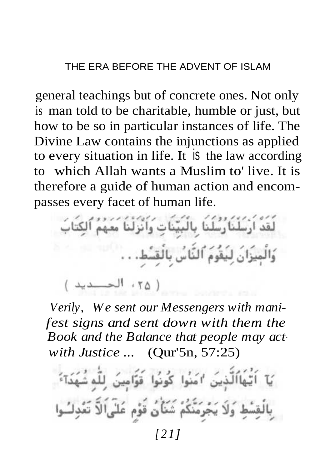general teachings but of concrete ones. Not only is man told to be charitable, humble or just, but how to be so in particular instances of life. The Divine Law contains the injunctions as applied to every situation in life. It is the law according to which Allah wants a Muslim to' live. It is therefore a guide of human action and encompasses every facet of human life.

لُقَدْ أَرْسُلْنَا رُسُلُنَا بِالْبَيِّنَاتِ وَأَنْزِلْنَا مَعِهُمُ ٱلكِتَابَ وَالْمِيزَانَ لِيَقُومَ ٱلنَّاسُ بِالْقِسَّطِ. . . ( ٢٥، الحسديد )

*Verily, We sent our Messengers with manifest signs and sent down with them the Book and the Balance that people may act with Justice ...* (Qur'5n, 57:25)

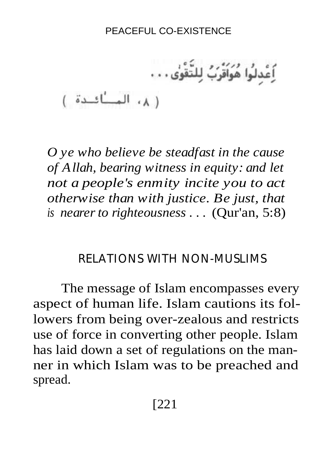اَعْدلُوا هُوَاَقْرَبُ لِلتَّقُوى . . . ( ٨، العسائدة )

*O ye who believe be steadfast in the cause of Allah, bearing witness in equity: and let not a people's enmity incite you to act otherwise than with justice. Be just, that is nearer to righteousness . . .* (Qur'an, 5:8)

### **RELATIONS WITH NON-MUSLIMS**

The message of Islam encompasses every aspect of human life. Islam cautions its followers from being over-zealous and restricts use of force in converting other people. Islam has laid down a set of regulations on the manner in which Islam was to be preached and spread.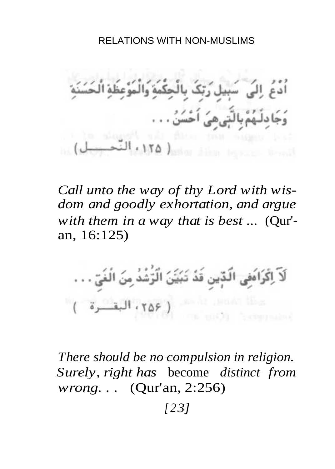#### RELATIONS WITH NON-MUSLIMS

أَدْعُ ۚ إِلَى ۖ سَبِيلٍ رَبِّكَ بِالْحِكْمَةِ وَالْمَوْعِظَةِ الْحَسَ میُ اَحْسَنُ . . . المستخدمة المستخدمة المتحدد التي

*Call unto the way of thy Lord with wisdom and goodly exhortation, and argue with them in a way that is best ...* (Qur' an, 16:125)

لَآ اِكۡرَامَٰفِی الَّدِّینِ قَدۡ تَبۡیَٰٓنَ الۡرَّشۡدُ مِنَ الۡفَیِّ . . . مطا اللطاء الأحقة ( ٢٥۶، البقشرة : )<br>مطلح بعد : ( ثانيا عدد : )

*There should be no compulsion in religion. Surely, right has* become *distinct from wrong. . .* (Qur'an, 2:256)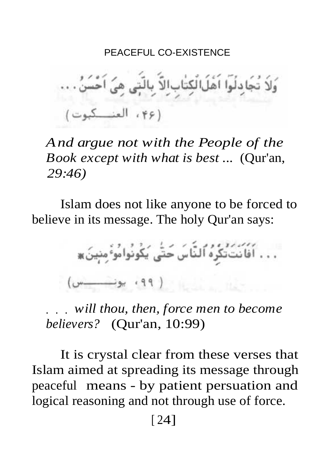وَلاَ تُجَادِلُوا اَهْلَالُكِتَابِالِلَّا بِالَّتِي هِيَ اَحْسَنُ . .. (٢۶، العنكوت)

*And argue not with the People of the Book except with what is best ...* (Qur'an, *29:46)*

Islam does not like anyone to be forced to believe in its message. The holy Qur'an says:

. . . أَفَأَنْتَ تَكُرُهُ ٱلنَّاسَ حَتَّى يَكُونُوا مُوَّ مِنِينَ ۞  $\left(\begin{array}{ccc} 0 & \cdots & \cdots \end{array}\right)$  , and  $\left(\begin{array}{ccc} 0 & \cdots & \cdots \end{array}\right)$ 

. . . *will thou, then, force men to become believers?* (Qur'an, 10:99)

It is crystal clear from these verses that Islam aimed at spreading its message through peaceful means - by patient persuation and logical reasoning and not through use of force.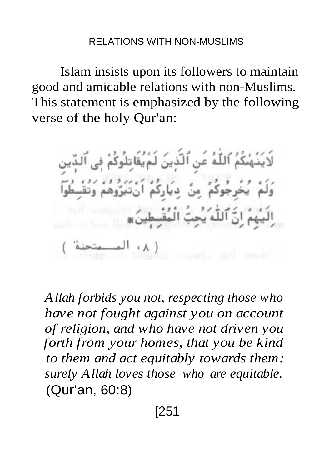Islam insists upon its followers to maintain good and amicable relations with non-Muslims. This statement is emphasized by the following verse of the holy Qur'an:

لَايَنُهْنَكُمُ ٱللَّهُ عَنِ ٱلَّذِينَ لَمْ يُقَاتِلُوكُ

*Allah forbids you not, respecting those who have not fought against you on account of religion, and who have not driven you forth from your homes, that you be kind to them and act equitably towards them: surely Allah loves those who are equitable.* (Qur'an, 60:8)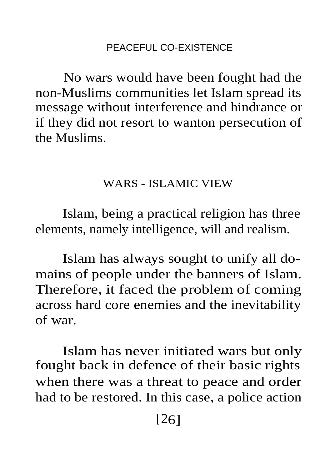No wars would have been fought had the non-Muslims communities let Islam spread its message without interference and hindrance or if they did not resort to wanton persecution of the Muslims.

### WARS - ISLAMIC VIEW

Islam, being a practical religion has three elements, namely intelligence, will and realism.

Islam has always sought to unify all domains of people under the banners of Islam. Therefore, it faced the problem of coming across hard core enemies and the inevitability of war.

Islam has never initiated wars but only fought back in defence of their basic rights when there was a threat to peace and order had to be restored. In this case, a police action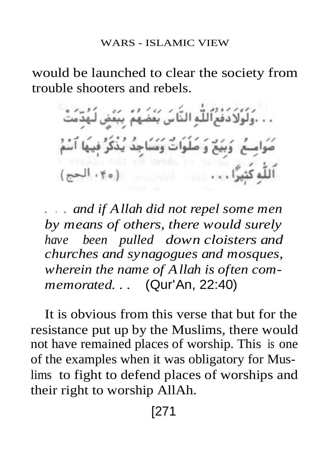#### WARS - ISLAMIC VIEW

would be launched to clear the society from trouble shooters and rebels.

. . . وَلَوْلَا دَفْعُٱللَّٰهِ النَّاسَ بَعْثَ صُوامِــعُ ۚ وَبَيَعٌ وَ صَلَوَاتٌ وَمَسَاجِدٌ 

. . . *and if Allah did not repel some men by means of others, there would surely have been pulled down cloisters and churches and synagogues and mosques, wherein the name of Allah is often commemorated. . .* (Qur'An, 22:40)

It is obvious from this verse that but for the resistance put up by the Muslims, there would not have remained places of worship. This is one of the examples when it was obligatory for Muslims to fight to defend places of worships and their right to worship AllAh.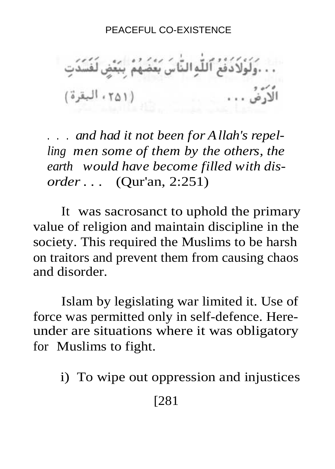. . .وَلَوْلَادَفْعُ ٱللَّٰهِ النَّاسَ بَعْضَهُمْ بِبَعْضٍ لَفَسَدَتِ<br>الْاَرْضُ . . .

. . . *and had it not been for Allah's repelling men some of them by the others, the earth would have become filled with disorder . . .* (Qur'an, 2:251)

It was sacrosanct to uphold the primary value of religion and maintain discipline in the society. This required the Muslims to be harsh on traitors and prevent them from causing chaos and disorder.

Islam by legislating war limited it. Use of force was permitted only in self-defence. Hereunder are situations where it was obligatory for Muslims to fight.

i) To wipe out oppression and injustices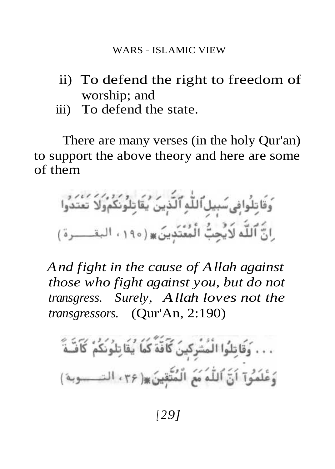- ii) To defend the right to freedom of worship; and
- iii) To defend the state.

There are many verses (in the holy Qur'an) to support the above theory and here are some of them

وَقَاتِلُوافِي سَبِيلِ ٱللَّٰهِ ٱلَّذِينَ يُقَاتِلُونَكُمُولاً تَعْتَدُوا ِانَّ ٱللَّه لَايُحِبُّ الْمُتَدَّدِينَ ۞ (١٩٥، البقــــرة)

*And fight in the cause of Allah against those who fight against you, but do not transgress. Surely, Allah loves not the transgressors.* (Qur'An, 2:190)

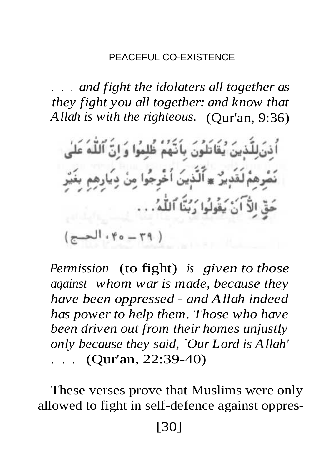. . . *and fight the idolaters all together as they fight you all together: and know that Allah is with the righteous.* (Qur'an, 9:36)

*Permission* (to fight) *is given to those against whom war is made, because they have been oppressed - and Allah indeed has power to help them. Those who have been driven out from their homes unjustly only because they said, `Our Lord is Allah' . . .* (Qur'an, 22:39-40)

These verses prove that Muslims were only allowed to fight in self-defence against oppres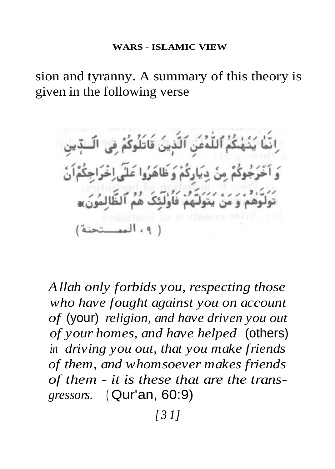sion and tyranny. A summary of this theory is given in the following verse

اِنَّمَا يَنْهَٰكُمُ ٱللَّٰهُمَنَ ٱلَّذِينَ قَاتَلُوكُمْ فِى الَّــدِّين وَ اَخْرَجُوكُمْ مِنْ دِيَارِكُمْ وَ ظَاهَرُوا عَلَى اِخْرَاجِكُمْ اَنَّ ر.<br>تَوَلَّوْهُمْ وَ مَنْ يَتَوَلَّـهُمْ فَأُولَئِكَ هُمْ ٱلظَّالِمُونَ» ( ٩، الممتحنة)

*Allah only forbids you, respecting those who have fought against you on account of* (your) *religion, and have driven you out of your homes, and have helped* (others) *in driving you out, that you make friends of them, and whomsoever makes friends of them - it is these that are the transgressors.* ( Qur'an, 60:9)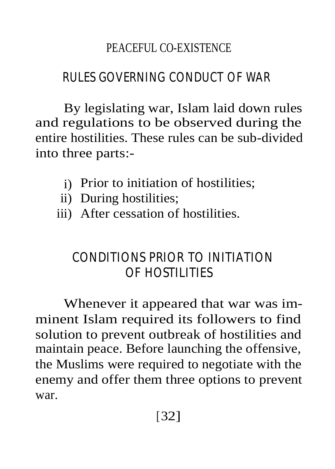# **RULES GOVERNING CONDUCT OF WAR**

By legislating war, Islam laid down rules and regulations to be observed during the entire hostilities. These rules can be sub-divided into three parts:-

- i) Prior to initiation of hostilities;
- ii) During hostilities;
- iii) After cessation of hostilities.

# **CONDITIONS PRIOR TO INITIATION OF HOSTILITIES**

Whenever it appeared that war was imminent Islam required its followers to find solution to prevent outbreak of hostilities and maintain peace. Before launching the offensive, the Muslims were required to negotiate with the enemy and offer them three options to prevent war.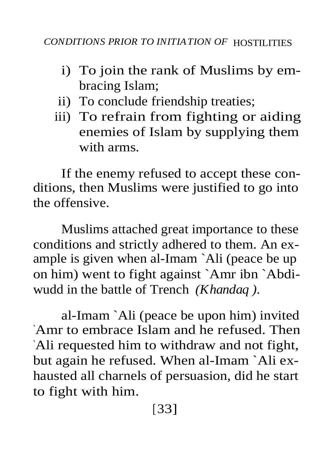- i) To join the rank of Muslims by embracing Islam;
- ii) To conclude friendship treaties;
- iii) To refrain from fighting or aiding enemies of Islam by supplying them with arms.

If the enemy refused to accept these conditions, then Muslims were justified to go into the offensive.

Muslims attached great importance to these conditions and strictly adhered to them. An example is given when al-Imam `Ali (peace be up on him) went to fight against `Amr ibn `Abdiwudd in the battle of Trench *(Khandaq ).*

al-Imam `Ali (peace be upon him) invited `Amr to embrace Islam and he refused. Then `Ali requested him to withdraw and not fight, but again he refused. When al-Imam `Ali exhausted all charnels of persuasion, did he start to fight with him.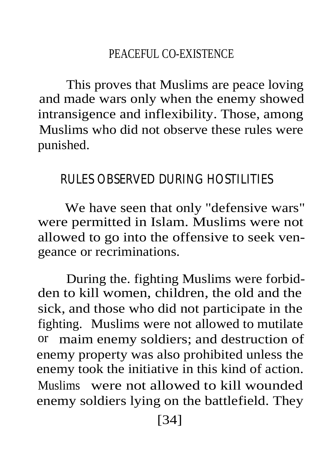This proves that Muslims are peace loving and made wars only when the enemy showed intransigence and inflexibility. Those, among Muslims who did not observe these rules were punished.

### **RULES OBSERVED DURING HOSTILITIES**

We have seen that only "defensive wars" were permitted in Islam. Muslims were not allowed to go into the offensive to seek vengeance or recriminations.

During the. fighting Muslims were forbidden to kill women, children, the old and the sick, and those who did not participate in the fighting. Muslims were not allowed to mutilate or maim enemy soldiers; and destruction of enemy property was also prohibited unless the enemy took the initiative in this kind of action. Muslims were not allowed to kill wounded enemy soldiers lying on the battlefield. They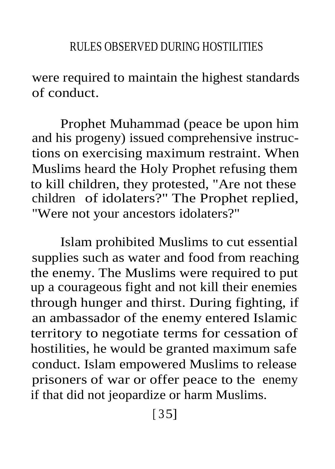were required to maintain the highest standards of conduct.

Prophet Muhammad (peace be upon him and his progeny) issued comprehensive instructions on exercising maximum restraint. When Muslims heard the Holy Prophet refusing them to kill children, they protested, "Are not these children of idolaters?" The Prophet replied, "Were not your ancestors idolaters?"

Islam prohibited Muslims to cut essential supplies such as water and food from reaching the enemy. The Muslims were required to put up a courageous fight and not kill their enemies through hunger and thirst. During fighting, if an ambassador of the enemy entered Islamic territory to negotiate terms for cessation of hostilities, he would be granted maximum safe conduct. Islam empowered Muslims to release prisoners of war or offer peace to the enemy if that did not jeopardize or harm Muslims.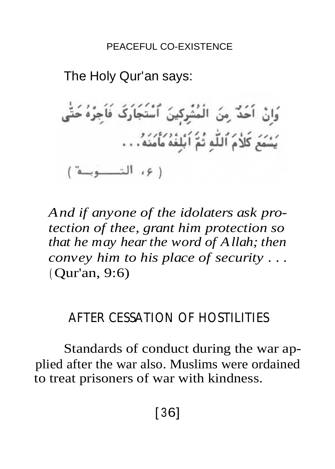The Holy Qur'an says: وَإِنْ أَحَدٌ مِنَ الْمُشْرِكِينَ ٱسْتَجَارَكَ فَأَجِرْهُ حَتَّى يَسْمَعَ كَلاَمَ ٱللَّهِ ثُمَّ ٱبْلِغُهُ مَأْمَنَهُ . . . ( ۶، التـــوبــة )

*And if anyone of the idolaters ask protection of thee, grant him protection so that he may hear the word of Allah; then convey him to his place of security . . .* ( Qur'an, 9:6)

# **AFTER CESSATION OF HOSTILITIES**

Standards of conduct during the war applied after the war also. Muslims were ordained to treat prisoners of war with kindness.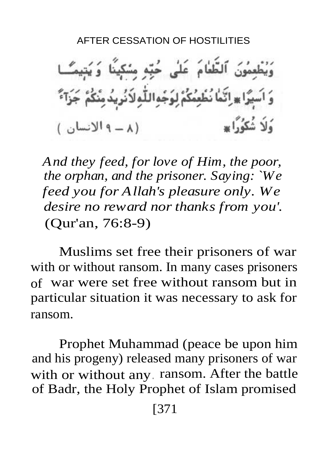وَيُطْعِمُونَ ٱلظَّامَ عَلَى حُبِّهِ مِسْكِينًا وَيُتِيمَـّـا وَ اَسِيَرًا ۞ إِنَّمَا نُظْمِئُكُمْ لِوَجْهِاللَّهِ لَأَنُوبِهُ مِنْكُمْ جَزَآءٌ .<br>وَلاَ شَكُوْرًا \* (A-Pluml)

*And they feed, for love of Him, the poor, the orphan, and the prisoner. Saying: `We feed you for Allah's pleasure only. We desire no reward nor thanks from you'.* (Qur'an, 76:8-9)

Muslims set free their prisoners of war with or without ransom. In many cases prisoners of war were set free without ransom but in particular situation it was necessary to ask for ransom.

Prophet Muhammad (peace be upon him and his progeny) released many prisoners of war with or without any. ransom. After the battle of Badr, the Holy Prophet of Islam promised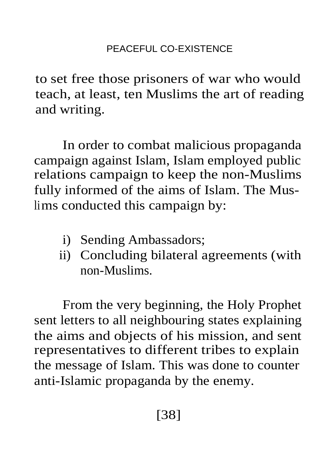to set free those prisoners of war who would teach, at least, ten Muslims the art of reading and writing.

In order to combat malicious propaganda campaign against Islam, Islam employed public relations campaign to keep the non-Muslims fully informed of the aims of Islam. The Muslims conducted this campaign by:

- i) Sending Ambassadors;
- ii) Concluding bilateral agreements (with non-Muslims.

From the very beginning, the Holy Prophet sent letters to all neighbouring states explaining the aims and objects of his mission, and sent representatives to different tribes to explain the message of Islam. This was done to counter anti-Islamic propaganda by the enemy.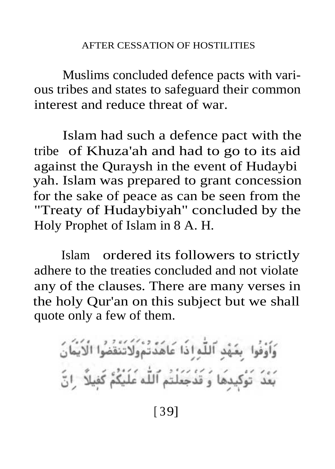Muslims concluded defence pacts with various tribes and states to safeguard their common interest and reduce threat of war.

Islam had such a defence pact with the tribe of Khuza'ah and had to go to its aid against the Quraysh in the event of Hudaybi yah. Islam was prepared to grant concession for the sake of peace as can be seen from the "Treaty of Hudaybiyah" concluded by the Holy Prophet of Islam in 8 A. H.

Islam ordered its followers to strictly adhere to the treaties concluded and not violate any of the clauses. There are many verses in the holy Qur'an on this subject but we shall quote only a few of them.

وَاَوْفُوا ۚ بِعَهْدِ ٱللَّٰہِ إِذَا عَاهَدٌتُمْوَلَاتَنَّقۡضُوْا الۡاَیۡفَانَ<br>بَعۡدَ ۖ تَوُکٖیدِهَا ۖ وَ قَذۡجَعَلۡتُم ٱللّٰہ عَلَیۡکُمْ کَفِیلاً ۚ رَا نَّ

[ 39]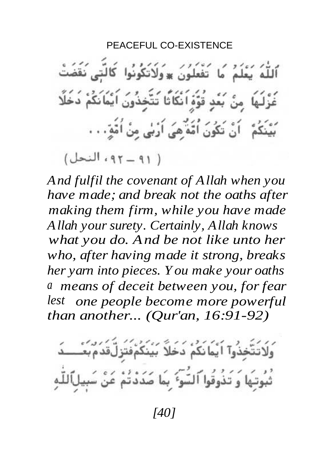اللَّهُ يَعْلَمُ ۚ مَا ۖ تَفْعَلُونَ ۞وَلَاتَكُونُوا ۚ كَالَّتِي نَقَضَتْ غُزْلَـهَا ۚ مِنْ يَغَدِ قُوَّةٍ اَنْكَاثًا تَتَّخِذُونَ اَيْمَانَكُمْ دَخَلًا أَنْ تَكُونَ أُمَّةٌ هِيَ أَرَبَٰيٍ مِنْ أُمَّةٍ. . .

( ۹۱ - ۹۲، النحل)

*And fulfil the covenant of Allah when you have made; and break not the oaths after making them firm, while you have made Allah your surety. Certainly, Allah knows what you do. And be not like unto her who, after having made it strong, breaks her yarn into pieces. You make your oaths a means of deceit between you, for fear lest one people become more powerful than another... (Qur'an, 16:91-92)*

وَلَاتَتَّخِذُوآ ٱیۡمَانَکُمْ دَخَلاً بَیۡنَکُمۡفَتَزِلَّقَدُمۡبَعۡـــدَ ثُبُوتِهَا وَ تَذُوقُوا ٱلسَّوَّ ۚ بِمَا ضَدَدْتُمْ عَنْ سَبِيلَٱللَّٰهِ

*[40]*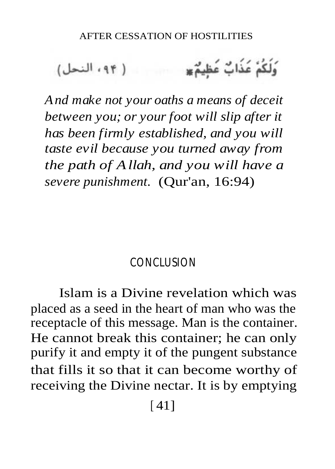*And make not your oaths a means of deceit between you; or your foot will slip after it has been firmly established, and you will taste evil because you turned away from the path of Allah, and you will have a severe punishment.* (Qur'an, 16:94)

### **CONCLUSION**

Islam is a Divine revelation which was placed as a seed in the heart of man who was the receptacle of this message. Man is the container. He cannot break this container; he can only purify it and empty it of the pungent substance that fills it so that it can become worthy of receiving the Divine nectar. It is by emptying